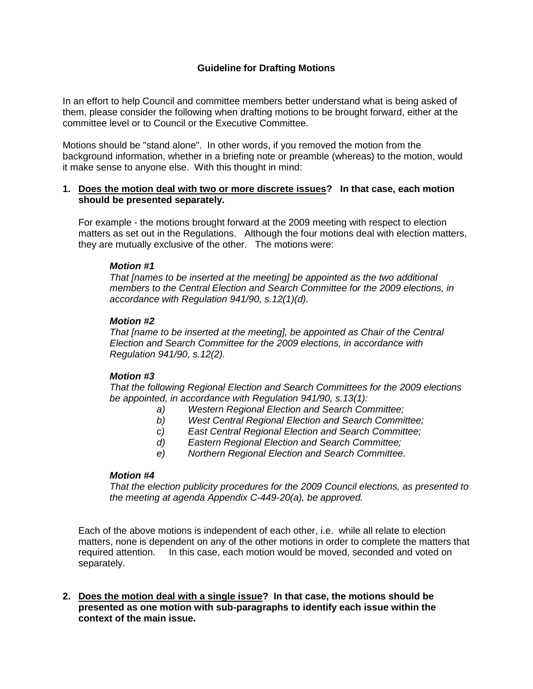# **Guideline for Drafting Motions**

In an effort to help Council and committee members better understand what is being asked of them, please consider the following when drafting motions to be brought forward, either at the committee level or to Council or the Executive Committee.

Motions should be "stand alone". In other words, if you removed the motion from the background information, whether in a briefing note or preamble (whereas) to the motion, would it make sense to anyone else. With this thought in mind:

## **1. Does the motion deal with two or more discrete issues? In that case, each motion should be presented separately.**

For example - the motions brought forward at the 2009 meeting with respect to election matters as set out in the Regulations. Although the four motions deal with election matters, they are mutually exclusive of the other. The motions were:

## *Motion #1*

*That [names to be inserted at the meeting] be appointed as the two additional members to the Central Election and Search Committee for the 2009 elections, in accordance with Regulation 941/90, s.12(1)(d).* 

### *Motion #2*

*That [name to be inserted at the meeting], be appointed as Chair of the Central Election and Search Committee for the 2009 elections, in accordance with Regulation 941/90, s.12(2).*

## *Motion #3*

*That the following Regional Election and Search Committees for the 2009 elections be appointed, in accordance with Regulation 941/90, s.13(1):*

- *a) Western Regional Election and Search Committee;*
- *b) West Central Regional Election and Search Committee;*
- *c) East Central Regional Election and Search Committee;*
- *d) Eastern Regional Election and Search Committee;*
- *e) Northern Regional Election and Search Committee.*

#### *Motion #4*

*That the election publicity procedures for the 2009 Council elections, as presented to the meeting at agenda Appendix C-449-20(a), be approved.*

Each of the above motions is independent of each other, i.e. while all relate to election matters, none is dependent on any of the other motions in order to complete the matters that required attention. In this case, each motion would be moved, seconded and voted on separately.

**2. Does the motion deal with a single issue? In that case, the motions should be presented as one motion with sub-paragraphs to identify each issue within the context of the main issue.**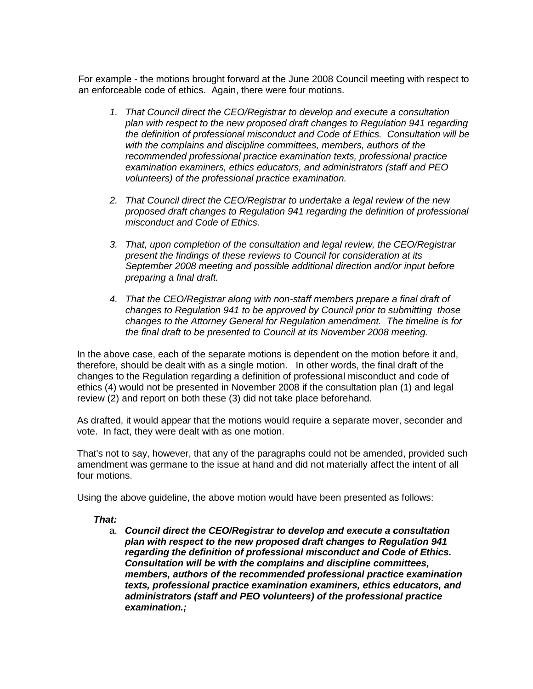For example - the motions brought forward at the June 2008 Council meeting with respect to an enforceable code of ethics. Again, there were four motions.

- *1. That Council direct the CEO/Registrar to develop and execute a consultation plan with respect to the new proposed draft changes to Regulation 941 regarding the definition of professional misconduct and Code of Ethics. Consultation will be with the complains and discipline committees, members, authors of the recommended professional practice examination texts, professional practice examination examiners, ethics educators, and administrators (staff and PEO volunteers) of the professional practice examination.*
- *2. That Council direct the CEO/Registrar to undertake a legal review of the new proposed draft changes to Regulation 941 regarding the definition of professional misconduct and Code of Ethics.*
- *3. That, upon completion of the consultation and legal review, the CEO/Registrar present the findings of these reviews to Council for consideration at its September 2008 meeting and possible additional direction and/or input before preparing a final draft.*
- *4. That the CEO/Registrar along with non-staff members prepare a final draft of changes to Regulation 941 to be approved by Council prior to submitting those changes to the Attorney General for Regulation amendment. The timeline is for the final draft to be presented to Council at its November 2008 meeting.*

In the above case, each of the separate motions is dependent on the motion before it and, therefore, should be dealt with as a single motion. In other words, the final draft of the changes to the Regulation regarding a definition of professional misconduct and code of ethics (4) would not be presented in November 2008 if the consultation plan (1) and legal review (2) and report on both these (3) did not take place beforehand.

As drafted, it would appear that the motions would require a separate mover, seconder and vote. In fact, they were dealt with as one motion.

That's not to say, however, that any of the paragraphs could not be amended, provided such amendment was germane to the issue at hand and did not materially affect the intent of all four motions.

Using the above guideline, the above motion would have been presented as follows:

# *That:*

a. *Council direct the CEO/Registrar to develop and execute a consultation plan with respect to the new proposed draft changes to Regulation 941 regarding the definition of professional misconduct and Code of Ethics. Consultation will be with the complains and discipline committees, members, authors of the recommended professional practice examination texts, professional practice examination examiners, ethics educators, and administrators (staff and PEO volunteers) of the professional practice examination.;*